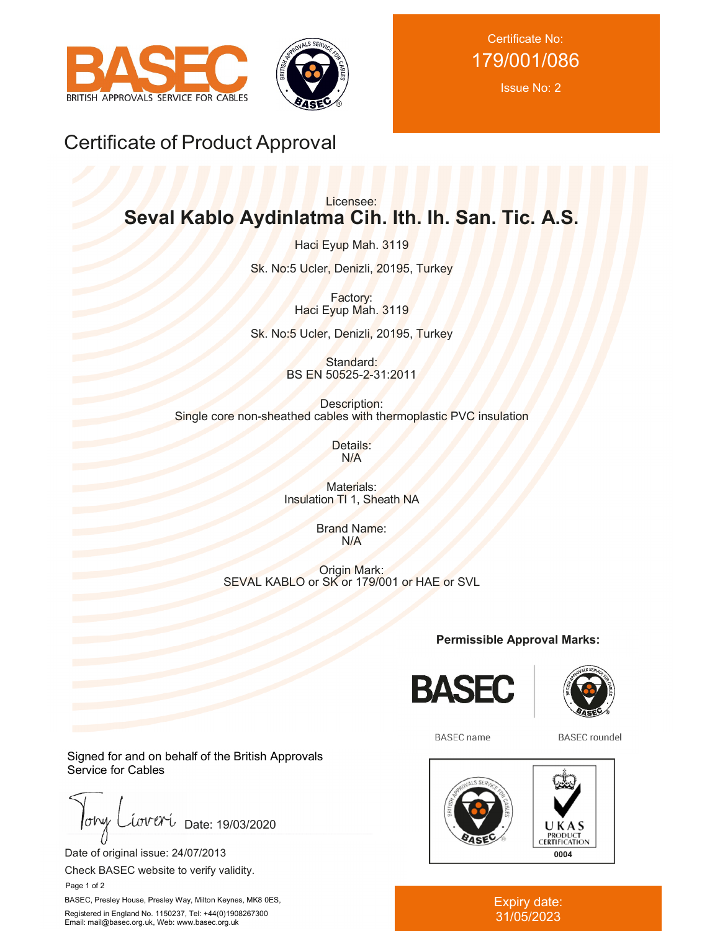



Certificate No: 179/001/086

Issue No: 2

# Certificate of Product Approval

# Licensee: **Seval Kablo Aydinlatma Cih. Ith. Ih. San. Tic. A.S.**

Haci Eyup Mah. 3119

Sk. No:5 Ucler, Denizli, 20195, Turkey

Factory: Haci Eyup Mah. 3119

Sk. No:5 Ucler, Denizli, 20195, Turkey

Standard: BS EN 50525-2-31:2011

Description: Single core non-sheathed cables with thermoplastic PVC insulation

> Details: N/A

Materials: Insulation TI 1, Sheath NA

> Brand Name: N/A

Origin Mark: SEVAL KABLO or SK or 179/001 or HAE or SVL

**Permissible Approval Marks:**





**BASEC** name

**BASEC** roundel



#### Expiry date: 31/05/2023

Signed for and on behalf of the British Approvals Service for Cables

 $low$ iover Date: 19/03/2020

Date of original issue: 24/07/2013

Check BASEC website to verify validity.

Page 1 of 2

BASEC, Presley House, Presley Way, Milton Keynes, MK8 0ES, Registered in England No. 1150237, Tel: +44(0)1908267300 Email: mail@basec.org.uk, Web: www.basec.org.uk